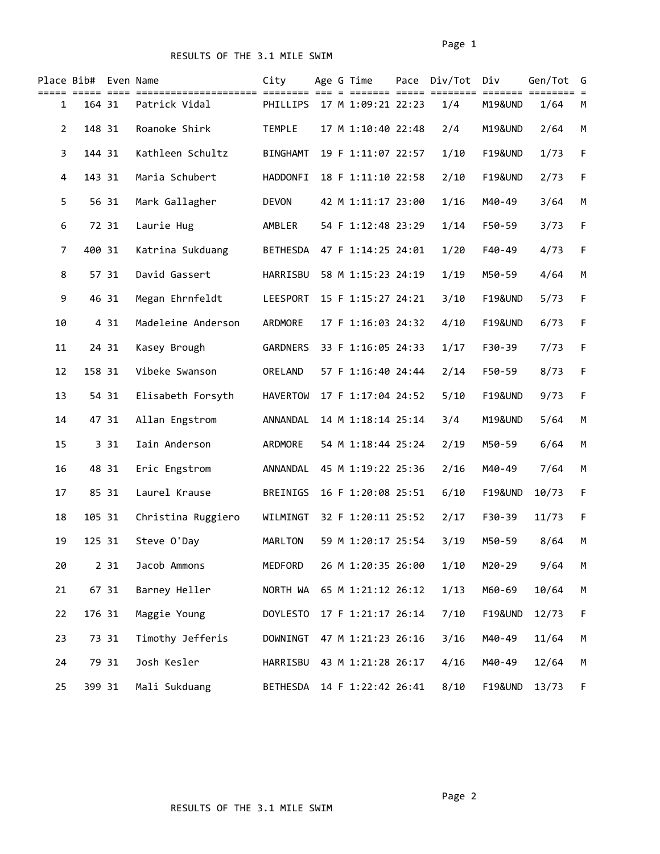|                | Place Bib# Even Name |       |                    | City            |  | Age G Time         | Pace | Div/Tot<br>======= ===== ======== | Div                | Gen/Tot | G           |
|----------------|----------------------|-------|--------------------|-----------------|--|--------------------|------|-----------------------------------|--------------------|---------|-------------|
| $\mathbf{1}$   | 164 31               |       | Patrick Vidal      | PHILLIPS        |  | 17 M 1:09:21 22:23 |      | 1/4                               | <b>M19&amp;UND</b> | 1/64    | М           |
| $\overline{2}$ | 148 31               |       | Roanoke Shirk      | <b>TEMPLE</b>   |  | 17 M 1:10:40 22:48 |      | 2/4                               | M19&UND            | 2/64    | M           |
| 3              | 144 31               |       | Kathleen Schultz   | <b>BINGHAMT</b> |  | 19 F 1:11:07 22:57 |      | 1/10                              | <b>F19&amp;UND</b> | 1/73    | F           |
| 4              | 143 31               |       | Maria Schubert     | <b>HADDONFI</b> |  | 18 F 1:11:10 22:58 |      | 2/10                              | <b>F19&amp;UND</b> | 2/73    | $\mathsf F$ |
| 5              | 56 31                |       | Mark Gallagher     | <b>DEVON</b>    |  | 42 M 1:11:17 23:00 |      | 1/16                              | M40-49             | 3/64    | M           |
| 6              | 72 31                |       | Laurie Hug         | AMBLER          |  | 54 F 1:12:48 23:29 |      | 1/14                              | F50-59             | 3/73    | F           |
| 7              | 400 31               |       | Katrina Sukduang   | BETHESDA        |  | 47 F 1:14:25 24:01 |      | 1/20                              | F40-49             | 4/73    | $\mathsf F$ |
| 8              | 57 31                |       | David Gassert      | HARRISBU        |  | 58 M 1:15:23 24:19 |      | 1/19                              | M50-59             | 4/64    | M           |
| 9              | 46 31                |       | Megan Ehrnfeldt    | LEESPORT        |  | 15 F 1:15:27 24:21 |      | 3/10                              | <b>F19&amp;UND</b> | 5/73    | F           |
| 10             |                      | 4 31  | Madeleine Anderson | ARDMORE         |  | 17 F 1:16:03 24:32 |      | 4/10                              | <b>F19&amp;UND</b> | 6/73    | F           |
| 11             | 24 31                |       | Kasey Brough       | GARDNERS        |  | 33 F 1:16:05 24:33 |      | 1/17                              | F30-39             | 7/73    | F           |
| 12             | 158 31               |       | Vibeke Swanson     | ORELAND         |  | 57 F 1:16:40 24:44 |      | 2/14                              | F50-59             | 8/73    | F           |
| 13             | 54 31                |       | Elisabeth Forsyth  | <b>HAVERTOW</b> |  | 17 F 1:17:04 24:52 |      | 5/10                              | <b>F19&amp;UND</b> | 9/73    | $\mathsf F$ |
| 14             | 47 31                |       | Allan Engstrom     | ANNANDAL        |  | 14 M 1:18:14 25:14 |      | 3/4                               | M19&UND            | 5/64    | M           |
| 15             |                      | 3 31  | Iain Anderson      | ARDMORE         |  | 54 M 1:18:44 25:24 |      | 2/19                              | M50-59             | 6/64    | M           |
| 16             | 48 31                |       | Eric Engstrom      | ANNANDAL        |  | 45 M 1:19:22 25:36 |      | 2/16                              | M40-49             | 7/64    | M           |
| 17             | 85 31                |       | Laurel Krause      | BREINIGS        |  | 16 F 1:20:08 25:51 |      | 6/10                              | <b>F19&amp;UND</b> | 10/73   | F           |
| 18             | 105 31               |       | Christina Ruggiero | WILMINGT        |  | 32 F 1:20:11 25:52 |      | 2/17                              | F30-39             | 11/73   | F           |
| 19             | 125 31               |       | Steve O'Day        | MARLTON         |  | 59 M 1:20:17 25:54 |      | 3/19                              | M50-59             | 8/64    | M           |
| 20             |                      | 2 3 1 | Jacob Ammons       | MEDFORD         |  | 26 M 1:20:35 26:00 |      | 1/10                              | M20-29             | 9/64    | М           |
| 21             | 67 31                |       | Barney Heller      | NORTH WA        |  | 65 M 1:21:12 26:12 |      | 1/13                              | M60-69             | 10/64   | М           |
| 22             | 176 31               |       | Maggie Young       | <b>DOYLESTO</b> |  | 17 F 1:21:17 26:14 |      | 7/10                              | <b>F19&amp;UND</b> | 12/73   | F           |
| 23             | 73 31                |       | Timothy Jefferis   | DOWNINGT        |  | 47 M 1:21:23 26:16 |      | 3/16                              | M40-49             | 11/64   | М           |
| 24             | 79 31                |       | Josh Kesler        | HARRISBU        |  | 43 M 1:21:28 26:17 |      | 4/16                              | M40-49             | 12/64   | М           |
| 25             | 399 31               |       | Mali Sukduang      | BETHESDA        |  | 14 F 1:22:42 26:41 |      | 8/10                              | <b>F19&amp;UND</b> | 13/73   | F           |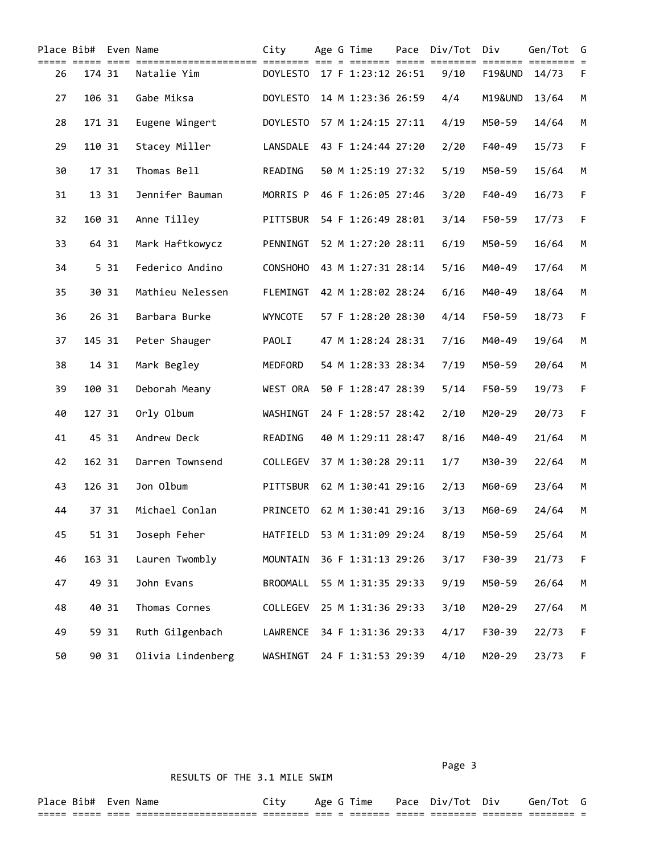|    | Place Bib# Even Name |       | City              |                             |  | Age G Time         | Pace | Div/Tot | Div                | Gen/Tot | G |
|----|----------------------|-------|-------------------|-----------------------------|--|--------------------|------|---------|--------------------|---------|---|
| 26 | 174 31               |       | Natalie Yim       | DOYLESTO 17 F 1:23:12 26:51 |  |                    |      | 9/10    | <b>F19&amp;UND</b> | 14/73   | F |
| 27 | 106 31               |       | Gabe Miksa        | <b>DOYLESTO</b>             |  | 14 M 1:23:36 26:59 |      | 4/4     | M19&UND            | 13/64   | M |
| 28 | 171 31               |       | Eugene Wingert    | <b>DOYLESTO</b>             |  | 57 M 1:24:15 27:11 |      | 4/19    | M50-59             | 14/64   | M |
| 29 | 110 31               |       | Stacey Miller     | LANSDALE                    |  | 43 F 1:24:44 27:20 |      | 2/20    | F40-49             | 15/73   | F |
| 30 |                      | 17 31 | Thomas Bell       | READING                     |  | 50 M 1:25:19 27:32 |      | 5/19    | M50-59             | 15/64   | M |
| 31 |                      | 13 31 | Jennifer Bauman   | MORRIS P                    |  | 46 F 1:26:05 27:46 |      | 3/20    | F40-49             | 16/73   | F |
| 32 | 160 31               |       | Anne Tilley       | PITTSBUR                    |  | 54 F 1:26:49 28:01 |      | 3/14    | F50-59             | 17/73   | F |
| 33 |                      | 64 31 | Mark Haftkowycz   | PENNINGT                    |  | 52 M 1:27:20 28:11 |      | 6/19    | M50-59             | 16/64   | M |
| 34 |                      | 5 31  | Federico Andino   | <b>CONSHOHO</b>             |  | 43 M 1:27:31 28:14 |      | 5/16    | M40-49             | 17/64   | M |
| 35 |                      | 30 31 | Mathieu Nelessen  | FLEMINGT                    |  | 42 M 1:28:02 28:24 |      | 6/16    | M40-49             | 18/64   | M |
| 36 |                      | 26 31 | Barbara Burke     | <b>WYNCOTE</b>              |  | 57 F 1:28:20 28:30 |      | 4/14    | F50-59             | 18/73   | F |
| 37 | 145 31               |       | Peter Shauger     | PAOLI                       |  | 47 M 1:28:24 28:31 |      | 7/16    | M40-49             | 19/64   | M |
| 38 |                      | 14 31 | Mark Begley       | MEDFORD                     |  | 54 M 1:28:33 28:34 |      | 7/19    | M50-59             | 20/64   | M |
| 39 | 100 31               |       | Deborah Meany     | WEST ORA                    |  | 50 F 1:28:47 28:39 |      | 5/14    | F50-59             | 19/73   | F |
| 40 | 127 31               |       | Orly Olbum        | WASHINGT                    |  | 24 F 1:28:57 28:42 |      | 2/10    | M20-29             | 20/73   | F |
| 41 |                      | 45 31 | Andrew Deck       | READING                     |  | 40 M 1:29:11 28:47 |      | 8/16    | M40-49             | 21/64   | M |
| 42 | 162 31               |       | Darren Townsend   | COLLEGEV                    |  | 37 M 1:30:28 29:11 |      | 1/7     | M30-39             | 22/64   | M |
| 43 | 126 31               |       | Jon Olbum         | PITTSBUR                    |  | 62 M 1:30:41 29:16 |      | 2/13    | M60-69             | 23/64   | M |
| 44 |                      | 37 31 | Michael Conlan    | PRINCETO                    |  | 62 M 1:30:41 29:16 |      | 3/13    | M60-69             | 24/64   | M |
| 45 |                      | 51 31 | Joseph Feher      | HATFIELD                    |  | 53 M 1:31:09 29:24 |      | 8/19    | M50-59             | 25/64   | M |
| 46 | 163 31               |       | Lauren Twombly    | MOUNTAIN                    |  | 36 F 1:31:13 29:26 |      | 3/17    | F30-39             | 21/73   | F |
| 47 |                      | 49 31 | John Evans        | <b>BROOMALL</b>             |  | 55 M 1:31:35 29:33 |      | 9/19    | M50-59             | 26/64   | М |
| 48 |                      | 40 31 | Thomas Cornes     | COLLEGEV                    |  | 25 M 1:31:36 29:33 |      | 3/10    | M20-29             | 27/64   | М |
| 49 |                      | 59 31 | Ruth Gilgenbach   | LAWRENCE                    |  | 34 F 1:31:36 29:33 |      | 4/17    | F30-39             | 22/73   | F |
| 50 |                      | 90 31 | Olivia Lindenberg | WASHINGT                    |  | 24 F 1:31:53 29:39 |      | 4/10    | M20-29             | 23/73   | F |

Page 3 and 2012 and 2012 and 2012 and 2012 and 2012 and 2012 and 2012 and 2012 and 2012 and 2012 and 2012 and

Place Bib# Even Name  $City$  Age G Time Pace Div/Tot Div Gen/Tot G ===== ===== ==== ===================== ======== === = ======= ===== ======== ======= ======== =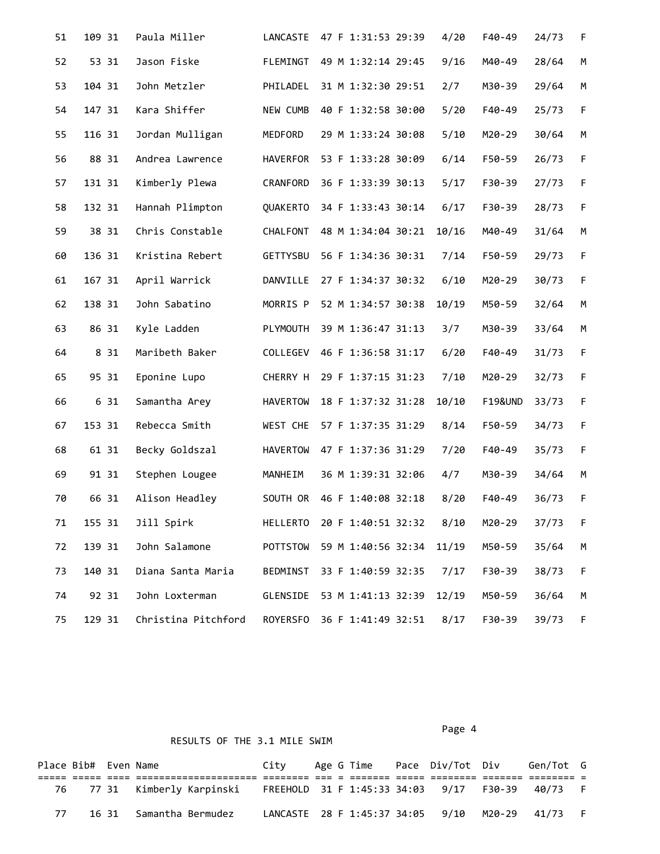| 51 | 109 31 | Paula Miller        | LANCASTE        | 47 F 1:31:53 29:39 | 4/20  | F40-49             | 24/73 | F           |
|----|--------|---------------------|-----------------|--------------------|-------|--------------------|-------|-------------|
| 52 | 53 31  | Jason Fiske         | FLEMINGT        | 49 M 1:32:14 29:45 | 9/16  | M40-49             | 28/64 | M           |
| 53 | 104 31 | John Metzler        | PHILADEL        | 31 M 1:32:30 29:51 | 2/7   | M30-39             | 29/64 | M           |
| 54 | 147 31 | Kara Shiffer        | NEW CUMB        | 40 F 1:32:58 30:00 | 5/20  | F40-49             | 25/73 | $\mathsf F$ |
| 55 | 116 31 | Jordan Mulligan     | MEDFORD         | 29 M 1:33:24 30:08 | 5/10  | M20-29             | 30/64 | M           |
| 56 | 88 31  | Andrea Lawrence     | HAVERFOR        | 53 F 1:33:28 30:09 | 6/14  | F50-59             | 26/73 | $\mathsf F$ |
| 57 | 131 31 | Kimberly Plewa      | CRANFORD        | 36 F 1:33:39 30:13 | 5/17  | F30-39             | 27/73 | $\mathsf F$ |
| 58 | 132 31 | Hannah Plimpton     | QUAKERTO        | 34 F 1:33:43 30:14 | 6/17  | F30-39             | 28/73 | F           |
| 59 | 38 31  | Chris Constable     | CHALFONT        | 48 M 1:34:04 30:21 | 10/16 | M40-49             | 31/64 | M           |
| 60 | 136 31 | Kristina Rebert     | GETTYSBU        | 56 F 1:34:36 30:31 | 7/14  | F50-59             | 29/73 | $\mathsf F$ |
| 61 | 167 31 | April Warrick       | DANVILLE        | 27 F 1:34:37 30:32 | 6/10  | M20-29             | 30/73 | $\mathsf F$ |
| 62 | 138 31 | John Sabatino       | MORRIS P        | 52 M 1:34:57 30:38 | 10/19 | M50-59             | 32/64 | M           |
| 63 | 86 31  | Kyle Ladden         | PLYMOUTH        | 39 M 1:36:47 31:13 | 3/7   | M30-39             | 33/64 | M           |
| 64 | 8 31   | Maribeth Baker      | COLLEGEV        | 46 F 1:36:58 31:17 | 6/20  | F40-49             | 31/73 | $\mathsf F$ |
| 65 | 95 31  | Eponine Lupo        | CHERRY H        | 29 F 1:37:15 31:23 | 7/10  | M20-29             | 32/73 | $\mathsf F$ |
| 66 | 6 31   | Samantha Arey       | <b>HAVERTOW</b> | 18 F 1:37:32 31:28 | 10/10 | <b>F19&amp;UND</b> | 33/73 | F           |
| 67 | 153 31 | Rebecca Smith       | WEST CHE        | 57 F 1:37:35 31:29 | 8/14  | F50-59             | 34/73 | $\mathsf F$ |
| 68 | 61 31  | Becky Goldszal      | <b>HAVERTOW</b> | 47 F 1:37:36 31:29 | 7/20  | F40-49             | 35/73 | $\mathsf F$ |
| 69 | 91 31  | Stephen Lougee      | MANHEIM         | 36 M 1:39:31 32:06 | 4/7   | M30-39             | 34/64 | M           |
| 70 | 66 31  | Alison Headley      | SOUTH OR        | 46 F 1:40:08 32:18 | 8/20  | F40-49             | 36/73 | $\mathsf F$ |
| 71 | 155 31 | Jill Spirk          | HELLERTO        | 20 F 1:40:51 32:32 | 8/10  | M20-29             | 37/73 | F           |
| 72 | 139 31 | John Salamone       | POTTSTOW        | 59 M 1:40:56 32:34 | 11/19 | M50-59             | 35/64 | М           |
| 73 | 140 31 | Diana Santa Maria   | BEDMINST        | 33 F 1:40:59 32:35 | 7/17  | F30-39             | 38/73 | F           |
| 74 | 92 31  | John Loxterman      | GLENSIDE        | 53 M 1:41:13 32:39 | 12/19 | M50-59             | 36/64 | М           |
| 75 | 129 31 | Christina Pitchford | ROYERSFO        | 36 F 1:41:49 32:51 | 8/17  | F30-39             | 39/73 | F           |

|    | Place Bib# Even Name |                                                                                          | Citv                                          |  |  | Age G Time     Pace   Div/Tot   Div | Gen/Tot G |  |
|----|----------------------|------------------------------------------------------------------------------------------|-----------------------------------------------|--|--|-------------------------------------|-----------|--|
|    |                      |                                                                                          |                                               |  |  |                                     |           |  |
|    |                      | 76   77 31  Kimberly Karpinski   FREEHOLD 31 F 1:45:33 34:03   9/17   F30-39   40/73   F |                                               |  |  |                                     |           |  |
| 77 |                      | 16 31   Samantha Bermudez                                                                | LANCASTE 28 F 1:45:37 34:05 9/10 M20-29 41/73 |  |  |                                     |           |  |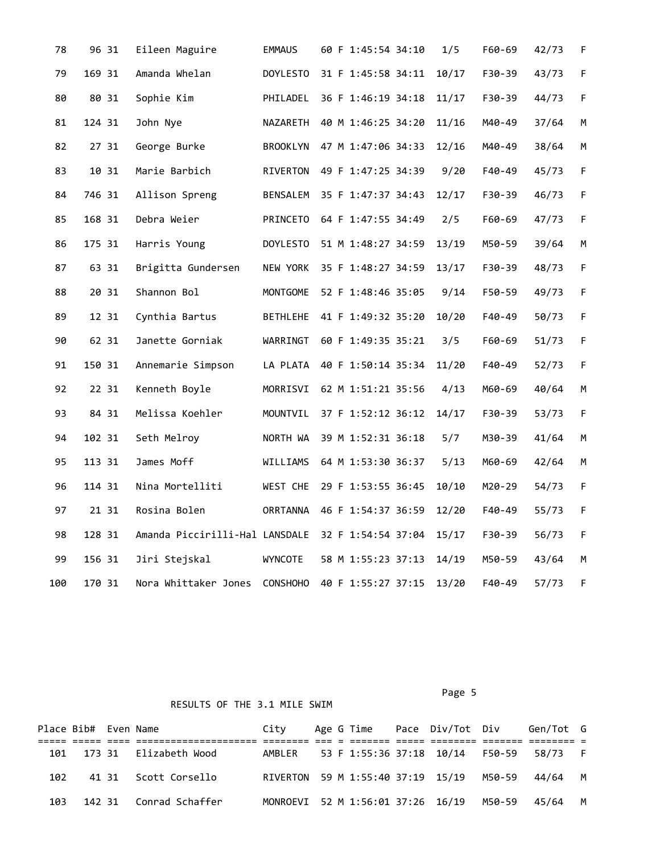| 78  | 96 31  | Eileen Maguire                 | <b>EMMAUS</b>   | 60 F 1:45:54 34:10 | 1/5   | F60-69 | 42/73 | F.          |
|-----|--------|--------------------------------|-----------------|--------------------|-------|--------|-------|-------------|
| 79  | 169 31 | Amanda Whelan                  | <b>DOYLESTO</b> | 31 F 1:45:58 34:11 | 10/17 | F30-39 | 43/73 | F           |
| 80  | 80 31  | Sophie Kim                     | PHILADEL        | 36 F 1:46:19 34:18 | 11/17 | F30-39 | 44/73 | $\mathsf F$ |
| 81  | 124 31 | John Nye                       | NAZARETH        | 40 M 1:46:25 34:20 | 11/16 | M40-49 | 37/64 | M           |
| 82  | 27 31  | George Burke                   | BROOKLYN        | 47 M 1:47:06 34:33 | 12/16 | M40-49 | 38/64 | M           |
| 83  | 10 31  | Marie Barbich                  | RIVERTON        | 49 F 1:47:25 34:39 | 9/20  | F40-49 | 45/73 | F           |
| 84  | 746 31 | Allison Spreng                 | BENSALEM        | 35 F 1:47:37 34:43 | 12/17 | F30-39 | 46/73 | $\mathsf F$ |
| 85  | 168 31 | Debra Weier                    | PRINCETO        | 64 F 1:47:55 34:49 | 2/5   | F60-69 | 47/73 | $\mathsf F$ |
| 86  | 175 31 | Harris Young                   | <b>DOYLESTO</b> | 51 M 1:48:27 34:59 | 13/19 | M50-59 | 39/64 | M           |
| 87  | 63 31  | Brigitta Gundersen             | NEW YORK        | 35 F 1:48:27 34:59 | 13/17 | F30-39 | 48/73 | $\mathsf F$ |
| 88  | 20 31  | Shannon Bol                    | MONTGOME        | 52 F 1:48:46 35:05 | 9/14  | F50-59 | 49/73 | F           |
| 89  | 12 31  | Cynthia Bartus                 | <b>BETHLEHE</b> | 41 F 1:49:32 35:20 | 10/20 | F40-49 | 50/73 | F           |
| 90  | 62 31  | Janette Gorniak                | WARRINGT        | 60 F 1:49:35 35:21 | 3/5   | F60-69 | 51/73 | F           |
| 91  | 150 31 | Annemarie Simpson              | LA PLATA        | 40 F 1:50:14 35:34 | 11/20 | F40-49 | 52/73 | $\mathsf F$ |
| 92  | 22 31  | Kenneth Boyle                  | MORRISVI        | 62 M 1:51:21 35:56 | 4/13  | M60-69 | 40/64 | M           |
| 93  | 84 31  | Melissa Koehler                | MOUNTVIL        | 37 F 1:52:12 36:12 | 14/17 | F30-39 | 53/73 | F           |
| 94  | 102 31 | Seth Melroy                    | NORTH WA        | 39 M 1:52:31 36:18 | 5/7   | M30-39 | 41/64 | M           |
| 95  | 113 31 | James Moff                     | WILLIAMS        | 64 M 1:53:30 36:37 | 5/13  | M60-69 | 42/64 | M           |
| 96  | 114 31 | Nina Mortelliti                | WEST CHE        | 29 F 1:53:55 36:45 | 10/10 | M20-29 | 54/73 | $\mathsf F$ |
| 97  | 21 31  | Rosina Bolen                   | ORRTANNA        | 46 F 1:54:37 36:59 | 12/20 | F40-49 | 55/73 | $\mathsf F$ |
| 98  | 128 31 | Amanda Piccirilli-Hal LANSDALE |                 | 32 F 1:54:54 37:04 | 15/17 | F30-39 | 56/73 | F           |
| 99  | 156 31 | Jiri Stejskal                  | WYNCOTE         | 58 M 1:55:23 37:13 | 14/19 | M50-59 | 43/64 | М           |
| 100 | 170 31 | Nora Whittaker Jones           | <b>CONSHOHO</b> | 40 F 1:55:27 37:15 | 13/20 | F40-49 | 57/73 | F           |

Page 5 and 2012 and 2012 and 2012 and 2012 and 2012 and 2012 and 2012 and 2012 and 2012 and 2012 and 2012 and

| Place Bib# Even Name |  |                           | Citv                                     |  |  | Age G Time     Pace   Div/Tot   Div | Gen/Tot G |  |
|----------------------|--|---------------------------|------------------------------------------|--|--|-------------------------------------|-----------|--|
|                      |  |                           |                                          |  |  |                                     |           |  |
|                      |  | 101 173 31 Elizabeth Wood | AMBLER 53 F 1:55:36 37:18 10/14 F50-59   |  |  |                                     | 58/73 F   |  |
| 102                  |  | 41 31 Scott Corsello      | RIVERTON 59 M 1:55:40 37:19 15/19 M50-59 |  |  |                                     | 44/64 M   |  |
| 103                  |  | 142 31 Conrad Schaffer    | MONROEVI 52 M 1:56:01 37:26 16/19 M50-59 |  |  |                                     | 45/64 M   |  |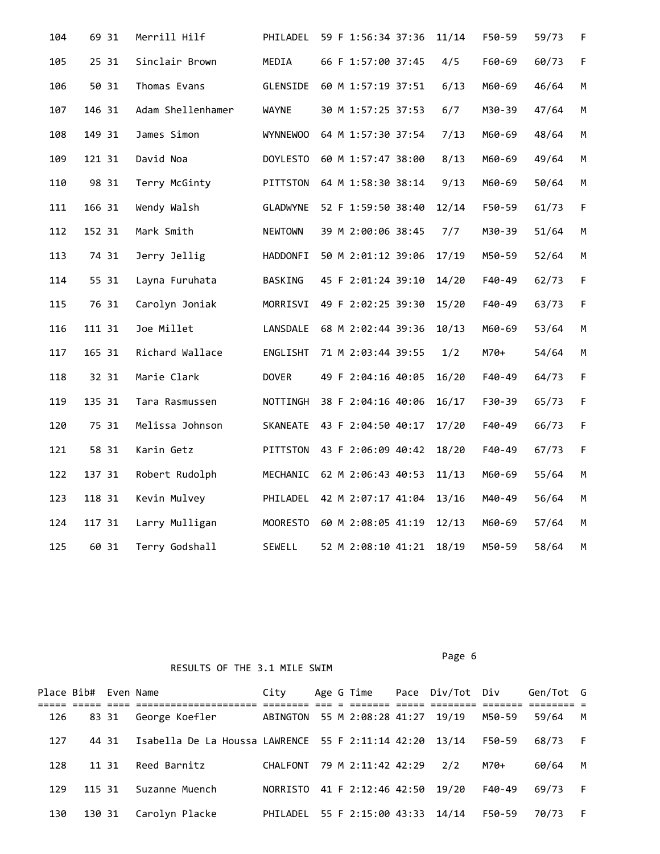| 104 | 69 31  | Merrill Hilf      | PHILADEL        | 59 F 1:56:34 37:36 | 11/14 | F50-59 | 59/73 | F.          |
|-----|--------|-------------------|-----------------|--------------------|-------|--------|-------|-------------|
| 105 | 25 31  | Sinclair Brown    | MEDIA           | 66 F 1:57:00 37:45 | 4/5   | F60-69 | 60/73 | F           |
| 106 | 50 31  | Thomas Evans      | GLENSIDE        | 60 M 1:57:19 37:51 | 6/13  | M60-69 | 46/64 | M           |
| 107 | 146 31 | Adam Shellenhamer | <b>WAYNE</b>    | 30 M 1:57:25 37:53 | 6/7   | M30-39 | 47/64 | M           |
| 108 | 149 31 | James Simon       | <b>WYNNEWOO</b> | 64 M 1:57:30 37:54 | 7/13  | M60-69 | 48/64 | M           |
| 109 | 121 31 | David Noa         | <b>DOYLESTO</b> | 60 M 1:57:47 38:00 | 8/13  | M60-69 | 49/64 | М           |
| 110 | 98 31  | Terry McGinty     | PITTSTON        | 64 M 1:58:30 38:14 | 9/13  | M60-69 | 50/64 | M           |
| 111 | 166 31 | Wendy Walsh       | GLADWYNE        | 52 F 1:59:50 38:40 | 12/14 | F50-59 | 61/73 | F           |
| 112 | 152 31 | Mark Smith        | <b>NEWTOWN</b>  | 39 M 2:00:06 38:45 | 7/7   | M30-39 | 51/64 | M           |
| 113 | 74 31  | Jerry Jellig      | <b>HADDONFI</b> | 50 M 2:01:12 39:06 | 17/19 | M50-59 | 52/64 | M           |
| 114 | 55 31  | Layna Furuhata    | BASKING         | 45 F 2:01:24 39:10 | 14/20 | F40-49 | 62/73 | F           |
| 115 | 76 31  | Carolyn Joniak    | MORRISVI        | 49 F 2:02:25 39:30 | 15/20 | F40-49 | 63/73 | F           |
| 116 | 111 31 | Joe Millet        | LANSDALE        | 68 M 2:02:44 39:36 | 10/13 | M60-69 | 53/64 | М           |
| 117 | 165 31 | Richard Wallace   | ENGLISHT        | 71 M 2:03:44 39:55 | 1/2   | M70+   | 54/64 | M           |
| 118 | 32 31  | Marie Clark       | <b>DOVER</b>    | 49 F 2:04:16 40:05 | 16/20 | F40-49 | 64/73 | F           |
| 119 | 135 31 | Tara Rasmussen    | NOTTINGH        | 38 F 2:04:16 40:06 | 16/17 | F30-39 | 65/73 | F           |
| 120 | 75 31  | Melissa Johnson   | SKANEATE        | 43 F 2:04:50 40:17 | 17/20 | F40-49 | 66/73 | F           |
| 121 | 58 31  | Karin Getz        | PITTSTON        | 43 F 2:06:09 40:42 | 18/20 | F40-49 | 67/73 | $\mathsf F$ |
| 122 | 137 31 | Robert Rudolph    | MECHANIC        | 62 M 2:06:43 40:53 | 11/13 | M60-69 | 55/64 | М           |
| 123 | 118 31 | Kevin Mulvey      | PHILADEL        | 42 M 2:07:17 41:04 | 13/16 | M40-49 | 56/64 | M           |
| 124 | 117 31 | Larry Mulligan    | MOORESTO        | 60 M 2:08:05 41:19 | 12/13 | M60-69 | 57/64 | М           |
| 125 | 60 31  | Terry Godshall    | SEWELL          | 52 M 2:08:10 41:21 | 18/19 | M50-59 | 58/64 | М           |

Page 6 and the contract of the contract of the contract of the contract of the contract of the contract of the

|     | Place Bib# Even Name |                                                         | City                              |  |                          | Age G Time Pace Div/Tot Div |        | Gen/Tot G |     |
|-----|----------------------|---------------------------------------------------------|-----------------------------------|--|--------------------------|-----------------------------|--------|-----------|-----|
| 126 | 83 31                | George Koefler                                          | ABINGTON 55 M 2:08:28 41:27 19/19 |  |                          |                             | M50-59 | 59/64     | M   |
| 127 | 44 31                | Isabella De La Houssa LAWRENCE 55 F 2:11:14 42:20 13/14 |                                   |  |                          |                             | F50-59 | 68/73     | - F |
| 128 | 11 31                | Reed Barnitz                                            | CHALFONT                          |  | 79 M 2:11:42 42:29       | 2/2                         | M70+   | 60/64     | M   |
| 129 | 115 31               | Suzanne Muench                                          | NORRISTO                          |  | 41 F 2:12:46 42:50 19/20 |                             | F40-49 | 69/73     | - F |
| 130 | 130 31               | Carolyn Placke                                          | PHILADEL 55 F 2:15:00 43:33 14/14 |  |                          |                             | F50-59 | 70/73     | - F |